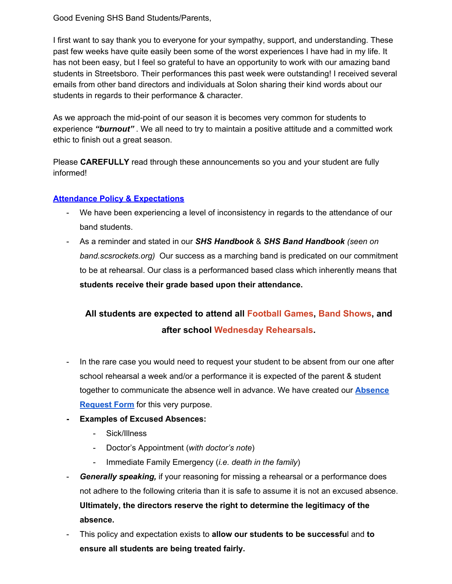Good Evening SHS Band Students/Parents,

I first want to say thank you to everyone for your sympathy, support, and understanding. These past few weeks have quite easily been some of the worst experiences I have had in my life. It has not been easy, but I feel so grateful to have an opportunity to work with our amazing band students in Streetsboro. Their performances this past week were outstanding! I received several emails from other band directors and individuals at Solon sharing their kind words about our students in regards to their performance & character.

As we approach the mid-point of our season it is becomes very common for students to experience *"burnout"* . We all need to try to maintain a positive attitude and a committed work ethic to finish out a great season.

Please **CAREFULLY** read through these announcements so you and your student are fully informed!

#### **Attendance Policy & Expectations**

- We have been experiencing a level of inconsistency in regards to the attendance of our band students.
- As a reminder and stated in our *SHS Handbook* & *SHS Band Handbook (seen on band.scsrockets.org)* Our success as a marching band is predicated on our commitment to be at rehearsal. Our class is a performanced based class which inherently means that **students receive their grade based upon their attendance.**

# **All students are expected to attend all Football Games, Band Shows, and after school Wednesday Rehearsals.**

- In the rare case you would need to request your student to be absent from our one after school rehearsal a week and/or a performance it is expected of the parent & student together to communicate the absence well in advance. We have created our **Absence Request Form** for this very purpose.
- **- Examples of Excused Absences:**
	- Sick/Illness
	- Doctor's Appointment (*with doctor's note*)
	- Immediate Family Emergency (*i.e. death in the family*)
- *Generally speaking,* if your reasoning for missing a rehearsal or a performance does not adhere to the following criteria than it is safe to assume it is not an excused absence. **Ultimately, the directors reserve the right to determine the legitimacy of the absence.**
- This policy and expectation exists to **allow our students to be successfu**l and **to ensure all students are being treated fairly.**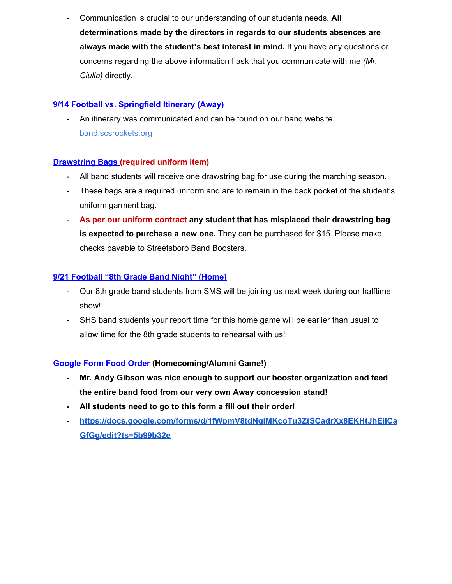- Communication is crucial to our understanding of our students needs. **All determinations made by the directors in regards to our students absences are always made with the student's best interest in mind.** If you have any questions or concerns regarding the above information I ask that you communicate with me *(Mr. Ciulla)* directly.

## **9/14 Football vs. Springfield Itinerary (Away)**

- An itinerary was communicated and can be found on our band website band.scsrockets.org

## **Drawstring Bags (required uniform item)**

- All band students will receive one drawstring bag for use during the marching season.
- These bags are a required uniform and are to remain in the back pocket of the student's uniform garment bag.
- **As per our uniform contract any student that has misplaced their drawstring bag is expected to purchase a new one.** They can be purchased for \$15. Please make checks payable to Streetsboro Band Boosters.

## **9/21 Football "8th Grade Band Night" (Home)**

- Our 8th grade band students from SMS will be joining us next week during our halftime show!
- SHS band students your report time for this home game will be earlier than usual to allow time for the 8th grade students to rehearsal with us!

#### **Google Form Food Order (Homecoming/Alumni Game!)**

- **- Mr. Andy Gibson was nice enough to support our booster organization and feed the entire band food from our very own Away concession stand!**
- **- All students need to go to this form a fill out their order!**
- **- https://docs.google.com/forms/d/1fWpmV8tdNglMKcoTu3ZtSCadrXx8EKHtJhEjlCa GfGg/edit?ts=5b99b32e**